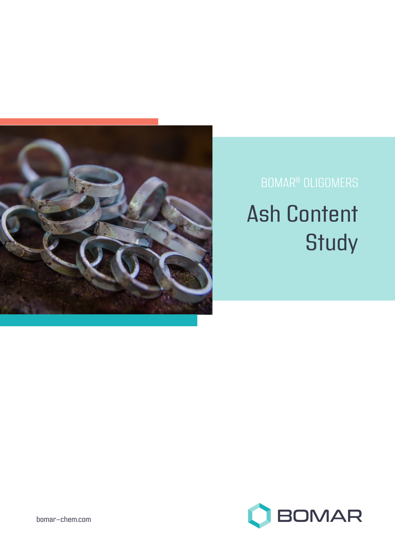

# BOMAR® OLIGOMERS Ash Content **Study**

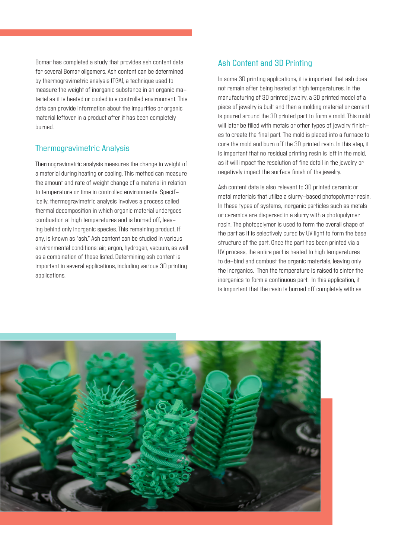Bomar has completed a study that provides ash content data for several Bomar oligomers. Ash content can be determined by thermogravimetric analysis (TGA), a technique used to measure the weight of inorganic substance in an organic material as it is heated or cooled in a controlled environment. This data can provide information about the impurities or organic material leftover in a product after it has been completely burned.

## Thermogravimetric Analysis

Thermogravimetric analysis measures the change in weight of a material during heating or cooling. This method can measure the amount and rate of weight change of a material in relation to temperature or time in controlled environments. Specifically, thermogravimetric analysis involves a process called thermal decomposition in which organic material undergoes combustion at high temperatures and is burned off, leaving behind only inorganic species. This remaining product, if any, is known as "ash." Ash content can be studied in various environmental conditions: air, argon, hydrogen, vacuum, as well as a combination of those listed. Determining ash content is important in several applications, including various 3D printing applications.

## Ash Content and 3D Printing

In some 3D printing applications, it is important that ash does not remain after being heated at high temperatures. In the manufacturing of 3D printed jewelry, a 3D printed model of a piece of jewelry is built and then a molding material or cement is poured around the 3D printed part to form a mold. This mold will later be filled with metals or other types of jewelry finishes to create the final part. The mold is placed into a furnace to cure the mold and burn off the 3D printed resin. In this step, it is important that no residual printing resin is left in the mold, as it will impact the resolution of fine detail in the jewelry or negatively impact the surface finish of the jewelry.

Ash content data is also relevant to 3D printed ceramic or metal materials that utilize a slurry-based photopolymer resin. In these types of systems, inorganic particles such as metals or ceramics are dispersed in a slurry with a photopolymer resin. The photopolymer is used to form the overall shape of the part as it is selectively cured by UV light to form the base structure of the part. Once the part has been printed via a UV process, the entire part is heated to high temperatures to de-bind and combust the organic materials, leaving only the inorganics. Then the temperature is raised to sinter the inorganics to form a continuous part. In this application, it is important that the resin is burned off completely with as

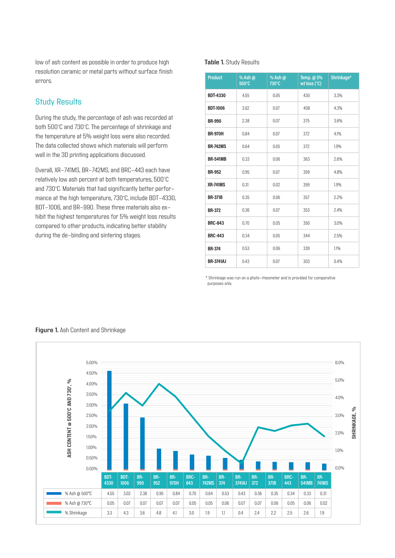low of ash content as possible in order to produce high resolution ceramic or metal parts without surface finish errors.

## Study Results

During the study, the percentage of ash was recorded at both 500°C and 730°C. The percentage of shrinkage and the temperature at 5% weight loss were also recorded. The data collected shows which materials will perform well in the 3D printing applications discussed.

Overall, XR-741MS, BR-742MS, and BRC-443 each have relatively low ash percent at both temperatures, 500°C and 730°C. Materials that had significantly better performance at the high temperature, 730°C, include BDT-4330, BDT-1006, and BR-990. These three materials also exhibit the highest temperatures for 5% weight loss results compared to other products, indicating better stability during the de-binding and sintering stages.

#### **Table 1.** Study Results

| <b>Product</b>   | % Ash $@$<br>500°C | % Ash @<br>730°C | Temp. @ 5%<br>wt loss (°C) | Shrinkage* |
|------------------|--------------------|------------------|----------------------------|------------|
| <b>BDT-4330</b>  | 4.55               | 0.05             | 430                        | 3.3%       |
| <b>BDT-1006</b>  | 3.02               | 0.07             | 408                        | 4.3%       |
| <b>BR-990</b>    | 2.38               | 0.07             | 375                        | 3.6%       |
| <b>BR-970H</b>   | 0.84               | 0.07             | 372                        | 4.1%       |
| <b>BR-742MS</b>  | 0.64               | 0.05             | 372                        | 1.9%       |
| <b>BR-541MB</b>  | 0.33               | 0.06             | 363                        | 2.6%       |
| <b>BR-952</b>    | 0.95               | 0.07             | 359                        | 4.8%       |
| <b>XR-741MS</b>  | 0.31               | 0.02             | 359                        | 1.9%       |
| <b>BR-371B</b>   | 0.35               | 0.06             | 357                        | 2.2%       |
| <b>BR-372</b>    | 0.36               | 0.07             | 353                        | 2.4%       |
| <b>BRC-843</b>   | 0.70               | 0.05             | 350                        | 3.0%       |
| <b>BRC-443</b>   | 0.34               | 0.05             | 344                        | 2.5%       |
| <b>BR-374</b>    | 0.53               | 0.06             | 339                        | 1.1%       |
| <b>BR-3741AJ</b> | 0.43               | 0.07             | 303                        | 0.4%       |

\* Shrinkage was run on a photo-rheometer and is provided for comparative purposes only.



#### **Figure 1.** Ash Content and Shrinkage